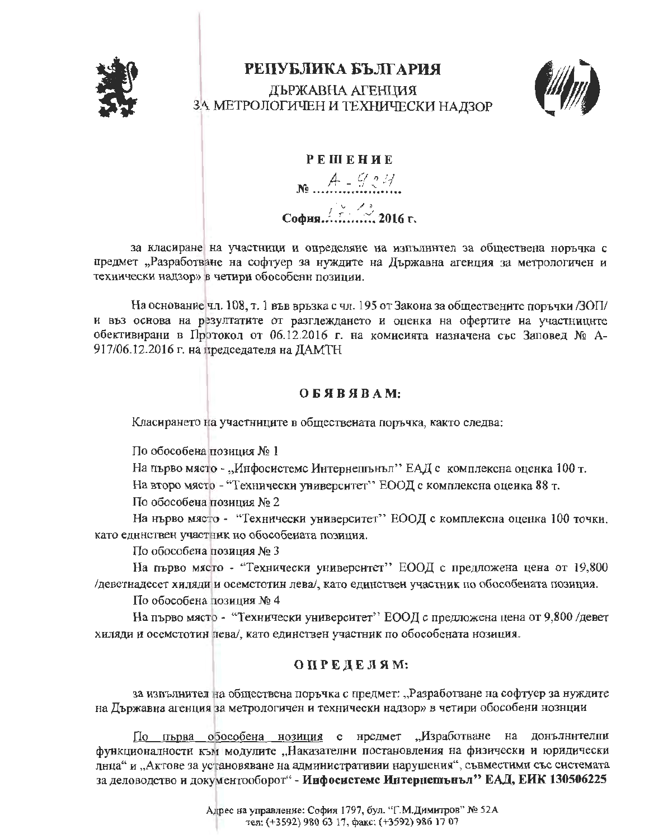

## РЕПУБЛИКА БЪЛГАРИЯ

ЛЪРЖАВНА АГЕНЦИЯ ЗА МЕТРОЛОГИЧЕН И ТЕХНИЧЕСКИ НАДЗОР



#### **РЕШЕНИЕ**

 $A - 924$ 

# 

за класиране на участници и определяне на изпълнител за обществена норъчка с предмет "Разработване на софтуер за нуждите на Държавна агенция за метрологичен и технически надзор» в четири обособенн позиции.

На основание чл. 108, т. 1 във връзка с чл. 195 от Закона за обществените поръчки /ЗОП/ и въз основа на резултатите от разглеждането и оценка на офертите на участниците обективирани в Протокол от 06.12.2016 г. на комисията назначена със Заповед № А-917/06.12.2016 г. на председателя на ДАМТН

### OESSBSAM:

Класирането на участниците в обществената поръчка, както следва:

По обособена позиция № 1

На първо място - "Инфосистемс Интернешънъл" ЕАД с комплексна оценка 100 т.

На второ място - "Технически университет" ЕООД с комплексна оцеика 88 т.

По обособена позиция № 2

На нърво място - "Технически университет" ЕООД с комплексна оценка 100 точки. като единствен участник но обособената позиция.

По обособена позиция № 3

На първо място - "Технически университет" ЕООД с предложена цена от 19,800 деветнадесет хиляди и осемстотин лева/, като единствен участник по обособената позицня.

По обособена позиция № 4

На първо място - "Технически университет" ЕООД с предложена цена от 9,800 девет хиляди и осеметотин пева/, като единствен участник по обособената нозиция.

### ОПРЕДЕЛЯМ:

за изпълнител на обществена поръчка с предмет: "Разработване на софтуер за нуждите на Държавна агенция за метрологичен и технически надзор» в четири обособени нознции

По първа обособена нозиция с нредмет "Изработване на донълнителни функционалности към модулите "Наказателни постановления на физически и юридически лнца" и "Актове за установяване на административии нарушения", съвместими със системата за деловодство и документооборот" - Инфосистемс Интернешънъл" ЕАД, ЕИК 130506225